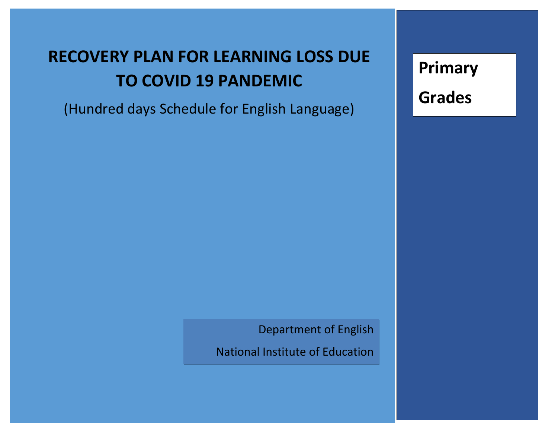# **RECOVERY PLAN FOR LEARNING LOSS DUE TO COVID 19 PANDEMIC**

(Hundred days Schedule for English Language)

**Primary Grades** 

Department of English

National Institute of Education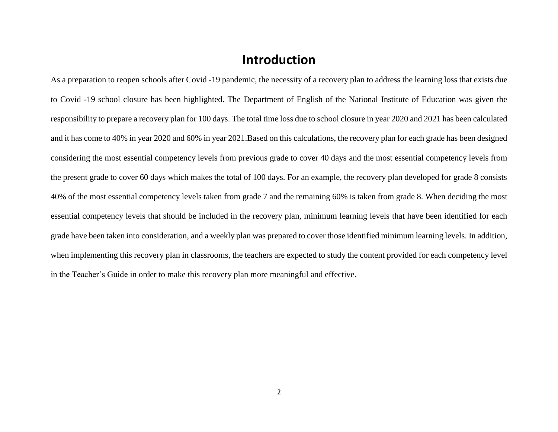#### **Introduction**

As a preparation to reopen schools after Covid -19 pandemic, the necessity of a recovery plan to address the learning loss that exists due to Covid -19 school closure has been highlighted. The Department of English of the National Institute of Education was given the responsibility to prepare a recovery plan for 100 days. The total time loss due to school closure in year 2020 and 2021 has been calculated and it has come to 40% in year 2020 and 60% in year 2021.Based on this calculations, the recovery plan for each grade has been designed considering the most essential competency levels from previous grade to cover 40 days and the most essential competency levels from the present grade to cover 60 days which makes the total of 100 days. For an example, the recovery plan developed for grade 8 consists 40% of the most essential competency levels taken from grade 7 and the remaining 60% is taken from grade 8. When deciding the most essential competency levels that should be included in the recovery plan, minimum learning levels that have been identified for each grade have been taken into consideration, and a weekly plan was prepared to cover those identified minimum learning levels. In addition, when implementing this recovery plan in classrooms, the teachers are expected to study the content provided for each competency level in the Teacher's Guide in order to make this recovery plan more meaningful and effective.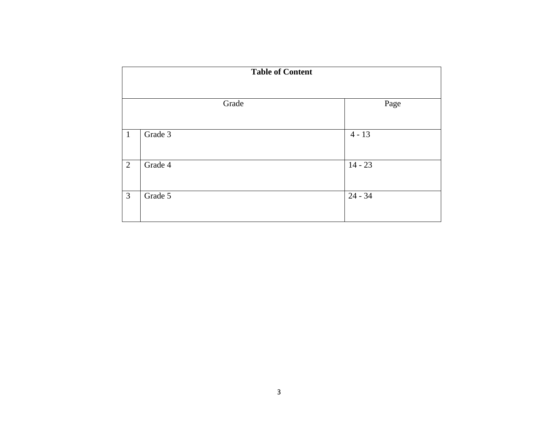|                | <b>Table of Content</b> |       |           |
|----------------|-------------------------|-------|-----------|
|                |                         |       |           |
|                |                         | Grade | Page      |
|                |                         |       |           |
| $\mathbf{1}$   | Grade 3                 |       | $4 - 13$  |
|                |                         |       |           |
| 2              | Grade 4                 |       | $14 - 23$ |
|                |                         |       |           |
| $\mathfrak{Z}$ | Grade 5                 |       | $24 - 34$ |
|                |                         |       |           |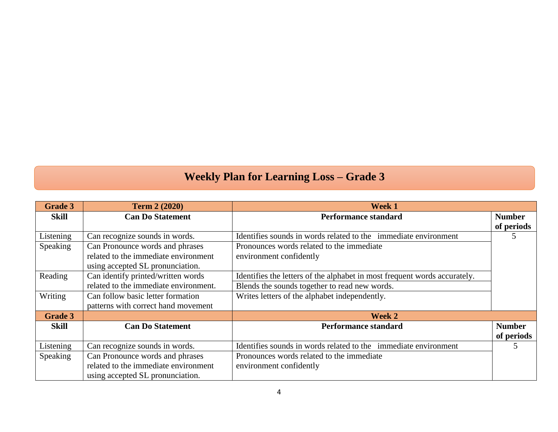### **Weekly Plan for Learning Loss – Grade 3**

| <b>Grade 3</b> | <b>Term 2 (2020)</b>                  | <b>Week 1</b>                                                             |                             |
|----------------|---------------------------------------|---------------------------------------------------------------------------|-----------------------------|
| <b>Skill</b>   | <b>Can Do Statement</b>               | <b>Performance standard</b>                                               | <b>Number</b><br>of periods |
| Listening      | Can recognize sounds in words.        | Identifies sounds in words related to the immediate environment           | 5                           |
| Speaking       | Can Pronounce words and phrases       | Pronounces words related to the immediate                                 |                             |
|                | related to the immediate environment  | environment confidently                                                   |                             |
|                | using accepted SL pronunciation.      |                                                                           |                             |
| Reading        | Can identify printed/written words    | Identifies the letters of the alphabet in most frequent words accurately. |                             |
|                | related to the immediate environment. | Blends the sounds together to read new words.                             |                             |
| Writing        | Can follow basic letter formation     | Writes letters of the alphabet independently.                             |                             |
|                | patterns with correct hand movement   |                                                                           |                             |
| <b>Grade 3</b> |                                       | Week 2                                                                    |                             |
| <b>Skill</b>   | <b>Can Do Statement</b>               | <b>Performance standard</b>                                               | <b>Number</b>               |
|                |                                       |                                                                           | of periods                  |
| Listening      | Can recognize sounds in words.        | Identifies sounds in words related to the immediate environment           | 5                           |
| Speaking       | Can Pronounce words and phrases       | Pronounces words related to the immediate                                 |                             |
|                | related to the immediate environment  | environment confidently                                                   |                             |
|                | using accepted SL pronunciation.      |                                                                           |                             |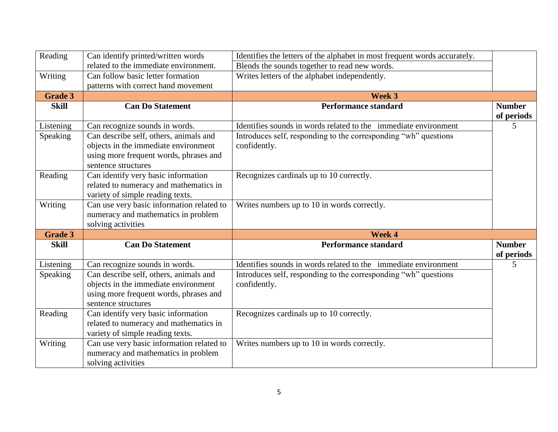| Reading        | Can identify printed/written words                                                                                                              | Identifies the letters of the alphabet in most frequent words accurately.       |                             |
|----------------|-------------------------------------------------------------------------------------------------------------------------------------------------|---------------------------------------------------------------------------------|-----------------------------|
|                | related to the immediate environment.                                                                                                           | Blends the sounds together to read new words.                                   |                             |
| Writing        | Can follow basic letter formation                                                                                                               | Writes letters of the alphabet independently.                                   |                             |
|                | patterns with correct hand movement                                                                                                             |                                                                                 |                             |
| <b>Grade 3</b> |                                                                                                                                                 | Week 3                                                                          |                             |
| <b>Skill</b>   | <b>Can Do Statement</b>                                                                                                                         | <b>Performance standard</b>                                                     | <b>Number</b><br>of periods |
| Listening      | Can recognize sounds in words.                                                                                                                  | Identifies sounds in words related to the immediate environment                 | 5                           |
| Speaking       | Can describe self, others, animals and<br>objects in the immediate environment<br>using more frequent words, phrases and<br>sentence structures | Introduces self, responding to the corresponding "wh" questions<br>confidently. |                             |
| Reading        | Can identify very basic information<br>related to numeracy and mathematics in<br>variety of simple reading texts.                               | Recognizes cardinals up to 10 correctly.                                        |                             |
| Writing        | Can use very basic information related to<br>numeracy and mathematics in problem<br>solving activities                                          | Writes numbers up to 10 in words correctly.                                     |                             |
| <b>Grade 3</b> |                                                                                                                                                 | Week 4                                                                          |                             |
| <b>Skill</b>   | <b>Can Do Statement</b>                                                                                                                         | <b>Performance standard</b>                                                     | <b>Number</b><br>of periods |
| Listening      | Can recognize sounds in words.                                                                                                                  | Identifies sounds in words related to the immediate environment                 | 5                           |
| Speaking       | Can describe self, others, animals and<br>objects in the immediate environment<br>using more frequent words, phrases and<br>sentence structures | Introduces self, responding to the corresponding "wh" questions<br>confidently. |                             |
| Reading        | Can identify very basic information<br>related to numeracy and mathematics in<br>variety of simple reading texts.                               | Recognizes cardinals up to 10 correctly.                                        |                             |
| Writing        | Can use very basic information related to<br>numeracy and mathematics in problem<br>solving activities                                          | Writes numbers up to 10 in words correctly.                                     |                             |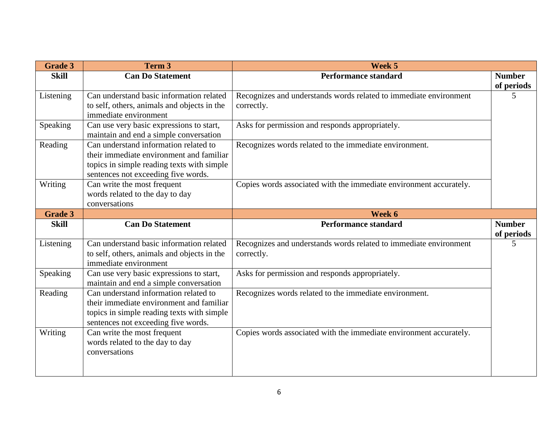| <b>Grade 3</b> | Term 3                                                                                                                                                                 | Week 5                                                                          |                             |
|----------------|------------------------------------------------------------------------------------------------------------------------------------------------------------------------|---------------------------------------------------------------------------------|-----------------------------|
| <b>Skill</b>   | <b>Can Do Statement</b>                                                                                                                                                | <b>Performance standard</b>                                                     | <b>Number</b>               |
| Listening      | Can understand basic information related<br>to self, others, animals and objects in the<br>immediate environment                                                       | Recognizes and understands words related to immediate environment<br>correctly. | of periods<br>5             |
| Speaking       | Can use very basic expressions to start,<br>maintain and end a simple conversation                                                                                     | Asks for permission and responds appropriately.                                 |                             |
| Reading        | Can understand information related to<br>their immediate environment and familiar<br>topics in simple reading texts with simple<br>sentences not exceeding five words. | Recognizes words related to the immediate environment.                          |                             |
| Writing        | Can write the most frequent<br>words related to the day to day<br>conversations                                                                                        | Copies words associated with the immediate environment accurately.              |                             |
| <b>Grade 3</b> |                                                                                                                                                                        | Week 6                                                                          |                             |
| <b>Skill</b>   | <b>Can Do Statement</b>                                                                                                                                                | <b>Performance standard</b>                                                     | <b>Number</b><br>of periods |
| Listening      | Can understand basic information related<br>to self, others, animals and objects in the<br>immediate environment                                                       | Recognizes and understands words related to immediate environment<br>correctly. | 5                           |
| Speaking       | Can use very basic expressions to start,<br>maintain and end a simple conversation                                                                                     | Asks for permission and responds appropriately.                                 |                             |
| Reading        | Can understand information related to<br>their immediate environment and familiar<br>topics in simple reading texts with simple<br>sentences not exceeding five words. | Recognizes words related to the immediate environment.                          |                             |
| Writing        | Can write the most frequent<br>words related to the day to day<br>conversations                                                                                        | Copies words associated with the immediate environment accurately.              |                             |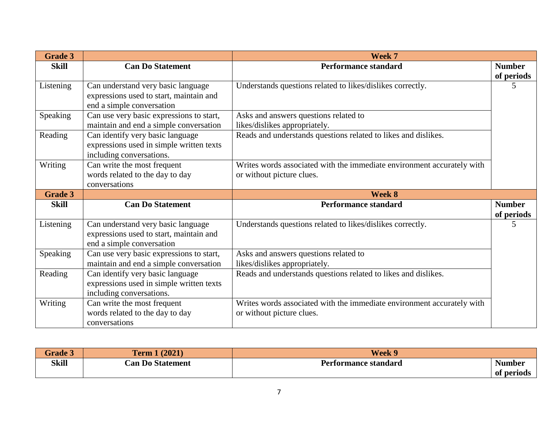| <b>Grade 3</b> |                                                                                                            | Week 7                                                                                              |                             |
|----------------|------------------------------------------------------------------------------------------------------------|-----------------------------------------------------------------------------------------------------|-----------------------------|
| <b>Skill</b>   | <b>Can Do Statement</b>                                                                                    | <b>Performance standard</b>                                                                         | <b>Number</b><br>of periods |
| Listening      | Can understand very basic language<br>expressions used to start, maintain and<br>end a simple conversation | Understands questions related to likes/dislikes correctly.                                          | 5                           |
| Speaking       | Can use very basic expressions to start,<br>maintain and end a simple conversation                         | Asks and answers questions related to<br>likes/dislikes appropriately.                              |                             |
| Reading        | Can identify very basic language<br>expressions used in simple written texts<br>including conversations.   | Reads and understands questions related to likes and dislikes.                                      |                             |
| Writing        | Can write the most frequent<br>words related to the day to day<br>conversations                            | Writes words associated with the immediate environment accurately with<br>or without picture clues. |                             |
| <b>Grade 3</b> |                                                                                                            | Week 8                                                                                              |                             |
| <b>Skill</b>   | <b>Can Do Statement</b>                                                                                    | <b>Performance standard</b>                                                                         | <b>Number</b><br>of periods |
| Listening      | Can understand very basic language<br>expressions used to start, maintain and<br>end a simple conversation | Understands questions related to likes/dislikes correctly.                                          | 5                           |
| Speaking       | Can use very basic expressions to start,<br>maintain and end a simple conversation                         | Asks and answers questions related to<br>likes/dislikes appropriately.                              |                             |
| Reading        | Can identify very basic language<br>expressions used in simple written texts<br>including conversations.   | Reads and understands questions related to likes and dislikes.                                      |                             |
| Writing        | Can write the most frequent<br>words related to the day to day<br>conversations                            | Writes words associated with the immediate environment accurately with<br>or without picture clues. |                             |

| <b>Grade 3</b> | <b>ferm 1 <math>(2021)</math></b> | Week 9                      |               |
|----------------|-----------------------------------|-----------------------------|---------------|
| <b>Skill</b>   | <b>Can Do Statement</b>           | <b>Performance standard</b> | <b>Number</b> |
|                |                                   |                             | of periods    |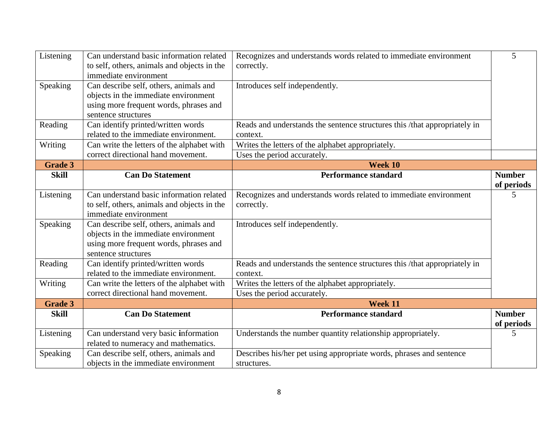| Listening      | Can understand basic information related<br>to self, others, animals and objects in the<br>immediate environment                                | Recognizes and understands words related to immediate environment<br>correctly.       | 5                           |
|----------------|-------------------------------------------------------------------------------------------------------------------------------------------------|---------------------------------------------------------------------------------------|-----------------------------|
| Speaking       | Can describe self, others, animals and<br>objects in the immediate environment<br>using more frequent words, phrases and<br>sentence structures | Introduces self independently.                                                        |                             |
| Reading        | Can identify printed/written words<br>related to the immediate environment.                                                                     | Reads and understands the sentence structures this /that appropriately in<br>context. |                             |
| Writing        | Can write the letters of the alphabet with                                                                                                      | Writes the letters of the alphabet appropriately.                                     |                             |
|                | correct directional hand movement.                                                                                                              | Uses the period accurately.                                                           |                             |
| <b>Grade 3</b> |                                                                                                                                                 | Week 10                                                                               |                             |
| <b>Skill</b>   | <b>Can Do Statement</b>                                                                                                                         | <b>Performance standard</b>                                                           | <b>Number</b><br>of periods |
| Listening      | Can understand basic information related<br>to self, others, animals and objects in the<br>immediate environment                                | Recognizes and understands words related to immediate environment<br>correctly.       | 5                           |
| Speaking       | Can describe self, others, animals and<br>objects in the immediate environment<br>using more frequent words, phrases and<br>sentence structures | Introduces self independently.                                                        |                             |
| Reading        | Can identify printed/written words<br>related to the immediate environment.                                                                     | Reads and understands the sentence structures this /that appropriately in<br>context. |                             |
| Writing        | Can write the letters of the alphabet with<br>correct directional hand movement.                                                                | Writes the letters of the alphabet appropriately.<br>Uses the period accurately.      |                             |
| <b>Grade 3</b> |                                                                                                                                                 | Week 11                                                                               |                             |
| <b>Skill</b>   | <b>Can Do Statement</b>                                                                                                                         | <b>Performance standard</b>                                                           | <b>Number</b><br>of periods |
| Listening      | Can understand very basic information<br>related to numeracy and mathematics.                                                                   | Understands the number quantity relationship appropriately.                           | 5                           |
| Speaking       | Can describe self, others, animals and<br>objects in the immediate environment                                                                  | Describes his/her pet using appropriate words, phrases and sentence<br>structures.    |                             |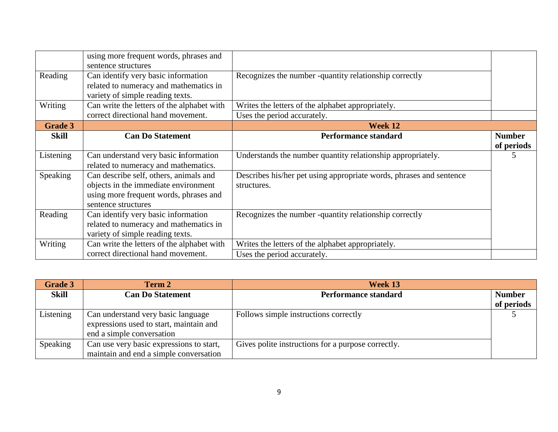| Reading        | using more frequent words, phrases and<br>sentence structures<br>Can identify very basic information                                            | Recognizes the number -quantity relationship correctly                             |                             |
|----------------|-------------------------------------------------------------------------------------------------------------------------------------------------|------------------------------------------------------------------------------------|-----------------------------|
|                | related to numeracy and mathematics in<br>variety of simple reading texts.                                                                      |                                                                                    |                             |
| Writing        | Can write the letters of the alphabet with                                                                                                      | Writes the letters of the alphabet appropriately.                                  |                             |
|                | correct directional hand movement.                                                                                                              | Uses the period accurately.                                                        |                             |
| <b>Grade 3</b> |                                                                                                                                                 | Week 12                                                                            |                             |
| Skill          | <b>Can Do Statement</b>                                                                                                                         | Performance standard                                                               | <b>Number</b><br>of periods |
| Listening      | Can understand very basic information<br>related to numeracy and mathematics.                                                                   | Understands the number quantity relationship appropriately.                        | 5                           |
| Speaking       | Can describe self, others, animals and<br>objects in the immediate environment<br>using more frequent words, phrases and<br>sentence structures | Describes his/her pet using appropriate words, phrases and sentence<br>structures. |                             |
| Reading        | Can identify very basic information<br>related to numeracy and mathematics in<br>variety of simple reading texts.                               | Recognizes the number -quantity relationship correctly                             |                             |
| Writing        | Can write the letters of the alphabet with                                                                                                      | Writes the letters of the alphabet appropriately.                                  |                             |
|                | correct directional hand movement.                                                                                                              | Uses the period accurately.                                                        |                             |

| <b>Grade 3</b> | Term 2                                                                                                     | Week 13                                            |               |
|----------------|------------------------------------------------------------------------------------------------------------|----------------------------------------------------|---------------|
| Skill          | <b>Can Do Statement</b>                                                                                    | <b>Performance standard</b>                        | <b>Number</b> |
|                |                                                                                                            |                                                    | of periods    |
| Listening      | Can understand very basic language<br>expressions used to start, maintain and<br>end a simple conversation | Follows simple instructions correctly              |               |
| Speaking       | Can use very basic expressions to start,<br>maintain and end a simple conversation                         | Gives polite instructions for a purpose correctly. |               |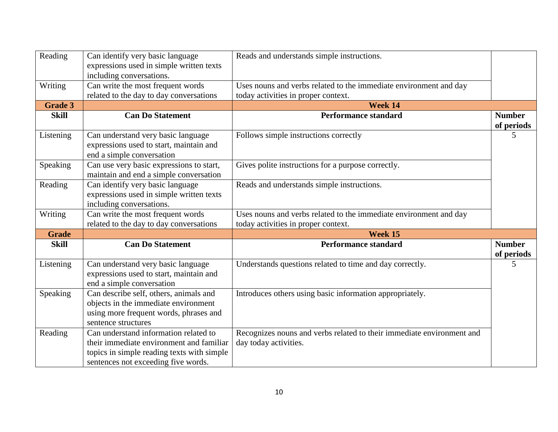| Reading        | Can identify very basic language<br>expressions used in simple written texts                                                                                           | Reads and understands simple instructions.                                                               |                             |
|----------------|------------------------------------------------------------------------------------------------------------------------------------------------------------------------|----------------------------------------------------------------------------------------------------------|-----------------------------|
| Writing        | including conversations.<br>Can write the most frequent words<br>related to the day to day conversations                                                               | Uses nouns and verbs related to the immediate environment and day<br>today activities in proper context. |                             |
| <b>Grade 3</b> |                                                                                                                                                                        | Week 14                                                                                                  |                             |
| <b>Skill</b>   | <b>Can Do Statement</b>                                                                                                                                                | <b>Performance standard</b>                                                                              | <b>Number</b><br>of periods |
| Listening      | Can understand very basic language<br>expressions used to start, maintain and<br>end a simple conversation                                                             | Follows simple instructions correctly                                                                    | 5                           |
| Speaking       | Can use very basic expressions to start,<br>maintain and end a simple conversation                                                                                     | Gives polite instructions for a purpose correctly.                                                       |                             |
| Reading        | Can identify very basic language<br>expressions used in simple written texts<br>including conversations.                                                               | Reads and understands simple instructions.                                                               |                             |
| Writing        | Can write the most frequent words<br>related to the day to day conversations                                                                                           | Uses nouns and verbs related to the immediate environment and day<br>today activities in proper context. |                             |
| <b>Grade</b>   |                                                                                                                                                                        | Week 15                                                                                                  |                             |
| <b>Skill</b>   | <b>Can Do Statement</b>                                                                                                                                                | <b>Performance standard</b>                                                                              | <b>Number</b><br>of periods |
| Listening      | Can understand very basic language<br>expressions used to start, maintain and<br>end a simple conversation                                                             | Understands questions related to time and day correctly.                                                 | 5                           |
| Speaking       | Can describe self, others, animals and<br>objects in the immediate environment<br>using more frequent words, phrases and<br>sentence structures                        | Introduces others using basic information appropriately.                                                 |                             |
| Reading        | Can understand information related to<br>their immediate environment and familiar<br>topics in simple reading texts with simple<br>sentences not exceeding five words. | Recognizes nouns and verbs related to their immediate environment and<br>day today activities.           |                             |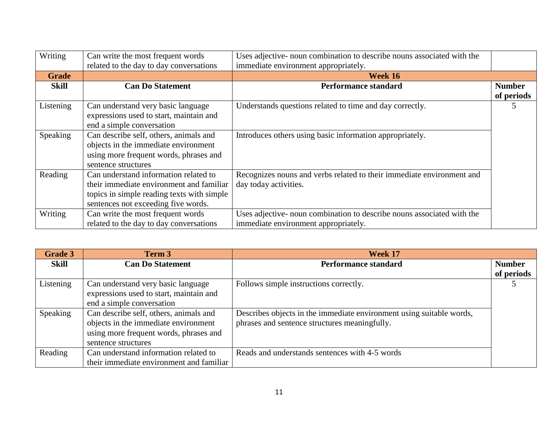| Writing      | Can write the most frequent words          | Uses adjective- noun combination to describe nouns associated with the |               |
|--------------|--------------------------------------------|------------------------------------------------------------------------|---------------|
|              | related to the day to day conversations    | immediate environment appropriately.                                   |               |
| <b>Grade</b> |                                            | Week 16                                                                |               |
| <b>Skill</b> | <b>Can Do Statement</b>                    | <b>Performance standard</b>                                            | <b>Number</b> |
|              |                                            |                                                                        | of periods    |
| Listening    | Can understand very basic language         | Understands questions related to time and day correctly.               |               |
|              | expressions used to start, maintain and    |                                                                        |               |
|              | end a simple conversation                  |                                                                        |               |
| Speaking     | Can describe self, others, animals and     | Introduces others using basic information appropriately.               |               |
|              | objects in the immediate environment       |                                                                        |               |
|              | using more frequent words, phrases and     |                                                                        |               |
|              | sentence structures                        |                                                                        |               |
| Reading      | Can understand information related to      | Recognizes nouns and verbs related to their immediate environment and  |               |
|              | their immediate environment and familiar   | day today activities.                                                  |               |
|              | topics in simple reading texts with simple |                                                                        |               |
|              | sentences not exceeding five words.        |                                                                        |               |
| Writing      | Can write the most frequent words          | Uses adjective- noun combination to describe nouns associated with the |               |
|              | related to the day to day conversations    | immediate environment appropriately.                                   |               |

| <b>Grade 3</b> | Term 3                                   | Week 17                                                              |               |
|----------------|------------------------------------------|----------------------------------------------------------------------|---------------|
| Skill          | <b>Can Do Statement</b>                  | <b>Performance standard</b>                                          | <b>Number</b> |
|                |                                          |                                                                      | of periods    |
| Listening      | Can understand very basic language       | Follows simple instructions correctly.                               |               |
|                | expressions used to start, maintain and  |                                                                      |               |
|                | end a simple conversation                |                                                                      |               |
| Speaking       | Can describe self, others, animals and   | Describes objects in the immediate environment using suitable words, |               |
|                | objects in the immediate environment     | phrases and sentence structures meaningfully.                        |               |
|                | using more frequent words, phrases and   |                                                                      |               |
|                | sentence structures                      |                                                                      |               |
| Reading        | Can understand information related to    | Reads and understands sentences with 4-5 words                       |               |
|                | their immediate environment and familiar |                                                                      |               |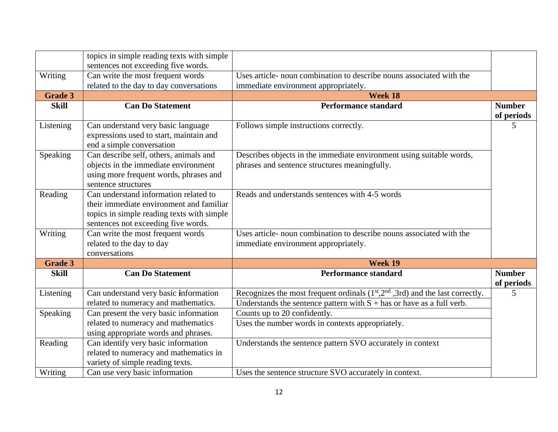|                | topics in simple reading texts with simple                                                                                                                             |                                                                                                                       |                             |
|----------------|------------------------------------------------------------------------------------------------------------------------------------------------------------------------|-----------------------------------------------------------------------------------------------------------------------|-----------------------------|
|                | sentences not exceeding five words.                                                                                                                                    |                                                                                                                       |                             |
| Writing        | Can write the most frequent words                                                                                                                                      | Uses article- noun combination to describe nouns associated with the                                                  |                             |
|                | related to the day to day conversations                                                                                                                                | immediate environment appropriately.                                                                                  |                             |
| <b>Grade 3</b> |                                                                                                                                                                        | Week 18                                                                                                               |                             |
| <b>Skill</b>   | <b>Can Do Statement</b>                                                                                                                                                | <b>Performance standard</b>                                                                                           | <b>Number</b><br>of periods |
| Listening      | Can understand very basic language<br>expressions used to start, maintain and<br>end a simple conversation                                                             | Follows simple instructions correctly.                                                                                | 5                           |
| Speaking       | Can describe self, others, animals and<br>objects in the immediate environment<br>using more frequent words, phrases and<br>sentence structures                        | Describes objects in the immediate environment using suitable words,<br>phrases and sentence structures meaningfully. |                             |
| Reading        | Can understand information related to<br>their immediate environment and familiar<br>topics in simple reading texts with simple<br>sentences not exceeding five words. | Reads and understands sentences with 4-5 words                                                                        |                             |
| Writing        | Can write the most frequent words<br>related to the day to day<br>conversations                                                                                        | Uses article- noun combination to describe nouns associated with the<br>immediate environment appropriately.          |                             |
| <b>Grade 3</b> |                                                                                                                                                                        | Week 19                                                                                                               |                             |
| <b>Skill</b>   | <b>Can Do Statement</b>                                                                                                                                                | <b>Performance standard</b>                                                                                           | <b>Number</b><br>of periods |
| Listening      | Can understand very basic information                                                                                                                                  | Recognizes the most frequent ordinals $(1st,2nd,3rd)$ and the last correctly.                                         | 5                           |
|                | related to numeracy and mathematics.                                                                                                                                   | Understands the sentence pattern with $S +$ has or have as a full verb.                                               |                             |
| Speaking       | Can present the very basic information                                                                                                                                 | Counts up to 20 confidently.                                                                                          |                             |
|                | related to numeracy and mathematics<br>using appropriate words and phrases.                                                                                            | Uses the number words in contexts appropriately.                                                                      |                             |
| Reading        | Can identify very basic information<br>related to numeracy and mathematics in<br>variety of simple reading texts.                                                      | Understands the sentence pattern SVO accurately in context                                                            |                             |
| Writing        | Can use very basic information                                                                                                                                         | Uses the sentence structure SVO accurately in context.                                                                |                             |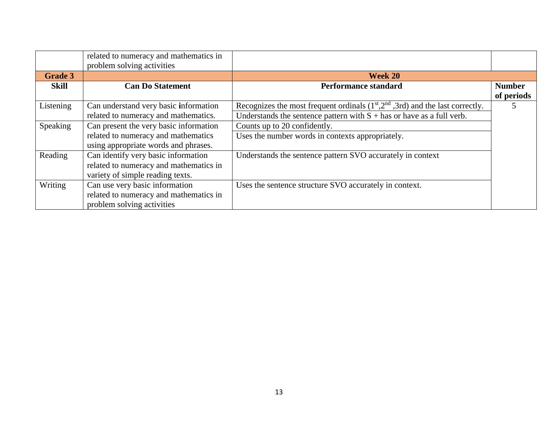|                | related to numeracy and mathematics in<br>problem solving activities |                                                                               |               |
|----------------|----------------------------------------------------------------------|-------------------------------------------------------------------------------|---------------|
| <b>Grade 3</b> |                                                                      | Week 20                                                                       |               |
| Skill          | <b>Can Do Statement</b>                                              | Performance standard                                                          | <b>Number</b> |
|                |                                                                      |                                                                               | of periods    |
| Listening      | Can understand very basic information                                | Recognizes the most frequent ordinals $(1st,2nd,3rd)$ and the last correctly. |               |
|                | related to numeracy and mathematics.                                 | Understands the sentence pattern with $S +$ has or have as a full verb.       |               |
| Speaking       | Can present the very basic information                               | Counts up to 20 confidently.                                                  |               |
|                | related to numeracy and mathematics                                  | Uses the number words in contexts appropriately.                              |               |
|                | using appropriate words and phrases.                                 |                                                                               |               |
| Reading        | Can identify very basic information                                  | Understands the sentence pattern SVO accurately in context                    |               |
|                | related to numeracy and mathematics in                               |                                                                               |               |
|                | variety of simple reading texts.                                     |                                                                               |               |
| Writing        | Can use very basic information                                       | Uses the sentence structure SVO accurately in context.                        |               |
|                | related to numeracy and mathematics in                               |                                                                               |               |
|                | problem solving activities                                           |                                                                               |               |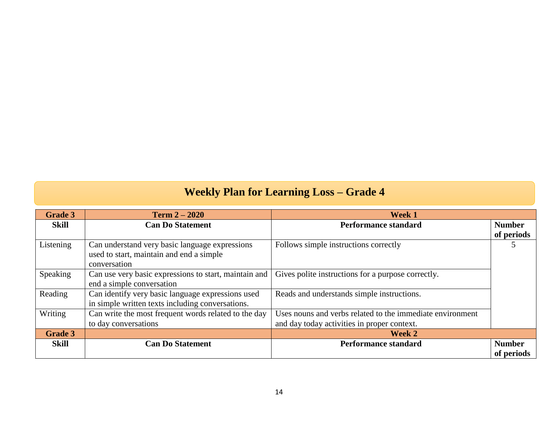## **Weekly Plan for Learning Loss – Grade 4**

| <b>Grade 3</b> | <b>Term 2 – 2020</b>                                  | <b>Week 1</b>                                             |               |
|----------------|-------------------------------------------------------|-----------------------------------------------------------|---------------|
| Skill          | <b>Can Do Statement</b>                               | <b>Performance standard</b>                               | <b>Number</b> |
|                |                                                       |                                                           | of periods    |
| Listening      | Can understand very basic language expressions        | Follows simple instructions correctly                     |               |
|                | used to start, maintain and end a simple              |                                                           |               |
|                | conversation                                          |                                                           |               |
| Speaking       | Can use very basic expressions to start, maintain and | Gives polite instructions for a purpose correctly.        |               |
|                | end a simple conversation                             |                                                           |               |
| Reading        | Can identify very basic language expressions used     | Reads and understands simple instructions.                |               |
|                | in simple written texts including conversations.      |                                                           |               |
| Writing        | Can write the most frequent words related to the day  | Uses nouns and verbs related to the immediate environment |               |
|                | to day conversations                                  | and day today activities in proper context.               |               |
| <b>Grade 3</b> |                                                       | Week 2                                                    |               |
| Skill          | <b>Can Do Statement</b>                               | <b>Performance standard</b>                               | <b>Number</b> |
|                |                                                       |                                                           | of periods    |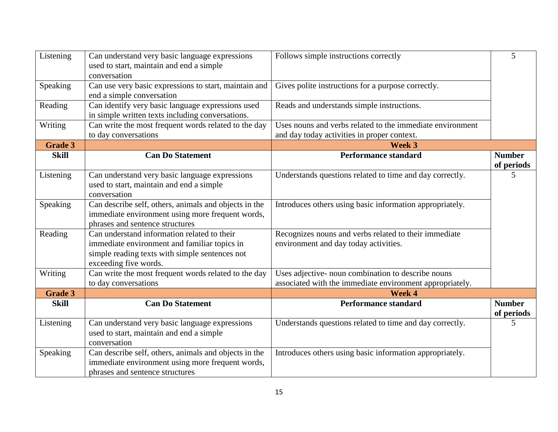| Listening      | Can understand very basic language expressions<br>used to start, maintain and end a simple<br>conversation                                                             | Follows simple instructions correctly                                                                    | 5                           |
|----------------|------------------------------------------------------------------------------------------------------------------------------------------------------------------------|----------------------------------------------------------------------------------------------------------|-----------------------------|
| Speaking       | Can use very basic expressions to start, maintain and<br>end a simple conversation                                                                                     | Gives polite instructions for a purpose correctly.                                                       |                             |
| Reading        | Can identify very basic language expressions used<br>in simple written texts including conversations.                                                                  | Reads and understands simple instructions.                                                               |                             |
| Writing        | Can write the most frequent words related to the day<br>to day conversations                                                                                           | Uses nouns and verbs related to the immediate environment<br>and day today activities in proper context. |                             |
| <b>Grade 3</b> |                                                                                                                                                                        | Week 3                                                                                                   |                             |
| <b>Skill</b>   | <b>Can Do Statement</b>                                                                                                                                                | <b>Performance standard</b>                                                                              | <b>Number</b><br>of periods |
| Listening      | Can understand very basic language expressions<br>used to start, maintain and end a simple<br>conversation                                                             | Understands questions related to time and day correctly.                                                 | 5                           |
| Speaking       | Can describe self, others, animals and objects in the<br>immediate environment using more frequent words,<br>phrases and sentence structures                           | Introduces others using basic information appropriately.                                                 |                             |
| Reading        | Can understand information related to their<br>immediate environment and familiar topics in<br>simple reading texts with simple sentences not<br>exceeding five words. | Recognizes nouns and verbs related to their immediate<br>environment and day today activities.           |                             |
| Writing        | Can write the most frequent words related to the day                                                                                                                   | Uses adjective- noun combination to describe nouns                                                       |                             |
|                | to day conversations                                                                                                                                                   | associated with the immediate environment appropriately.                                                 |                             |
| <b>Grade 3</b> |                                                                                                                                                                        | Week 4                                                                                                   |                             |
| <b>Skill</b>   | <b>Can Do Statement</b>                                                                                                                                                | <b>Performance standard</b>                                                                              | <b>Number</b><br>of periods |
| Listening      | Can understand very basic language expressions<br>used to start, maintain and end a simple<br>conversation                                                             | Understands questions related to time and day correctly.                                                 | 5                           |
| Speaking       | Can describe self, others, animals and objects in the<br>immediate environment using more frequent words,<br>phrases and sentence structures                           | Introduces others using basic information appropriately.                                                 |                             |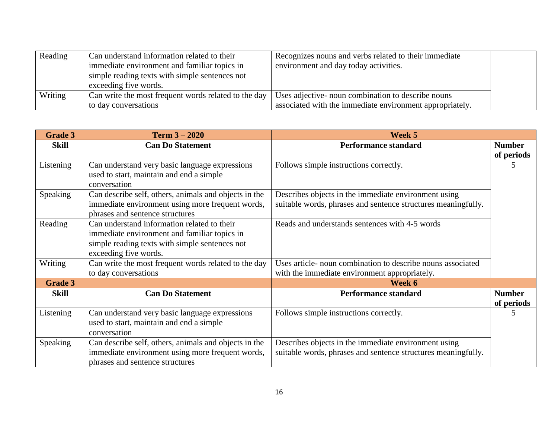| Reading | Can understand information related to their          | Recognizes nouns and verbs related to their immediate    |  |
|---------|------------------------------------------------------|----------------------------------------------------------|--|
|         | immediate environment and familiar topics in         | environment and day today activities.                    |  |
|         | simple reading texts with simple sentences not       |                                                          |  |
|         | exceeding five words.                                |                                                          |  |
| Writing | Can write the most frequent words related to the day | Uses adjective- noun combination to describe nouns       |  |
|         | to day conversations                                 | associated with the immediate environment appropriately. |  |

| <b>Grade 3</b> | <b>Term <math>3 - 2020</math></b>                     | Week 5                                                        |               |
|----------------|-------------------------------------------------------|---------------------------------------------------------------|---------------|
| <b>Skill</b>   | <b>Can Do Statement</b>                               | <b>Performance standard</b>                                   | <b>Number</b> |
|                |                                                       |                                                               | of periods    |
| Listening      | Can understand very basic language expressions        | Follows simple instructions correctly.                        |               |
|                | used to start, maintain and end a simple              |                                                               |               |
|                | conversation                                          |                                                               |               |
| Speaking       | Can describe self, others, animals and objects in the | Describes objects in the immediate environment using          |               |
|                | immediate environment using more frequent words,      | suitable words, phrases and sentence structures meaningfully. |               |
|                | phrases and sentence structures                       |                                                               |               |
| Reading        | Can understand information related to their           | Reads and understands sentences with 4-5 words                |               |
|                | immediate environment and familiar topics in          |                                                               |               |
|                | simple reading texts with simple sentences not        |                                                               |               |
|                | exceeding five words.                                 |                                                               |               |
| Writing        | Can write the most frequent words related to the day  | Uses article- noun combination to describe nouns associated   |               |
|                | to day conversations                                  | with the immediate environment appropriately.                 |               |
| <b>Grade 3</b> |                                                       | Week 6                                                        |               |
| <b>Skill</b>   | <b>Can Do Statement</b>                               | <b>Performance standard</b>                                   | <b>Number</b> |
|                |                                                       |                                                               | of periods    |
| Listening      | Can understand very basic language expressions        | Follows simple instructions correctly.                        | 5             |
|                | used to start, maintain and end a simple              |                                                               |               |
|                | conversation                                          |                                                               |               |
| Speaking       | Can describe self, others, animals and objects in the | Describes objects in the immediate environment using          |               |
|                | immediate environment using more frequent words,      | suitable words, phrases and sentence structures meaningfully. |               |
|                | phrases and sentence structures                       |                                                               |               |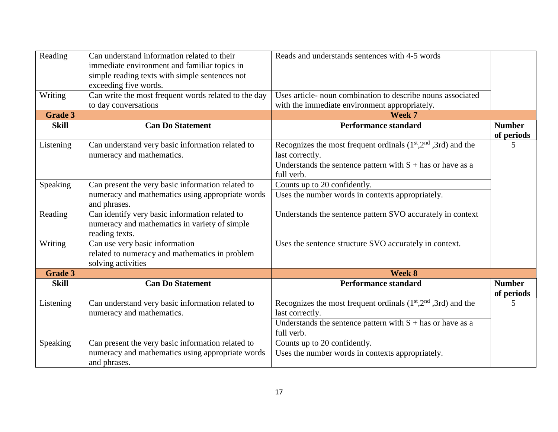| Reading        | Can understand information related to their<br>immediate environment and familiar topics in<br>simple reading texts with simple sentences not<br>exceeding five words. | Reads and understands sentences with 4-5 words                                                                                                                 |                             |
|----------------|------------------------------------------------------------------------------------------------------------------------------------------------------------------------|----------------------------------------------------------------------------------------------------------------------------------------------------------------|-----------------------------|
| Writing        | Can write the most frequent words related to the day<br>to day conversations                                                                                           | Uses article- noun combination to describe nouns associated<br>with the immediate environment appropriately.                                                   |                             |
| <b>Grade 3</b> |                                                                                                                                                                        | Week 7                                                                                                                                                         |                             |
| <b>Skill</b>   | <b>Can Do Statement</b>                                                                                                                                                | <b>Performance standard</b>                                                                                                                                    | <b>Number</b><br>of periods |
| Listening      | Can understand very basic information related to<br>numeracy and mathematics.                                                                                          | Recognizes the most frequent ordinals $(1st, 2nd, 3rd)$ and the<br>last correctly.<br>Understands the sentence pattern with $S +$ has or have as a             | 5                           |
|                |                                                                                                                                                                        | full verb.                                                                                                                                                     |                             |
| Speaking       | Can present the very basic information related to                                                                                                                      | Counts up to 20 confidently.                                                                                                                                   |                             |
|                | numeracy and mathematics using appropriate words<br>and phrases.                                                                                                       | Uses the number words in contexts appropriately.                                                                                                               |                             |
| Reading        | Can identify very basic information related to<br>numeracy and mathematics in variety of simple<br>reading texts.                                                      | Understands the sentence pattern SVO accurately in context                                                                                                     |                             |
| Writing        | Can use very basic information<br>related to numeracy and mathematics in problem<br>solving activities                                                                 | Uses the sentence structure SVO accurately in context.                                                                                                         |                             |
| <b>Grade 3</b> |                                                                                                                                                                        | Week 8                                                                                                                                                         |                             |
| <b>Skill</b>   | <b>Can Do Statement</b>                                                                                                                                                | <b>Performance standard</b>                                                                                                                                    | <b>Number</b><br>of periods |
| Listening      | Can understand very basic information related to<br>numeracy and mathematics.                                                                                          | Recognizes the most frequent ordinals $(1st,2nd,3rd)$ and the<br>last correctly.<br>Understands the sentence pattern with $S +$ has or have as a<br>full verb. | 5                           |
| Speaking       | Can present the very basic information related to                                                                                                                      | Counts up to 20 confidently.                                                                                                                                   |                             |
|                | numeracy and mathematics using appropriate words<br>and phrases.                                                                                                       | Uses the number words in contexts appropriately.                                                                                                               |                             |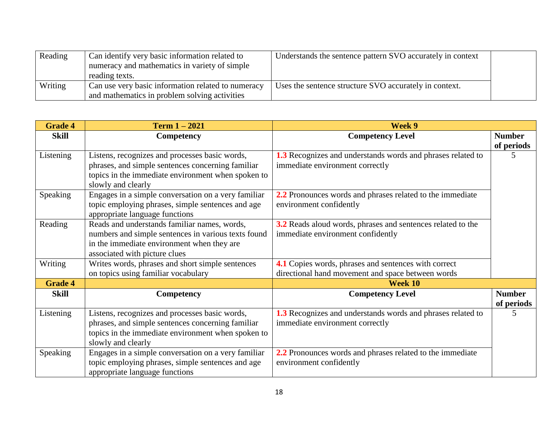| Reading | Can identify very basic information related to<br>numeracy and mathematics in variety of simple<br>reading texts. | Understands the sentence pattern SVO accurately in context |  |
|---------|-------------------------------------------------------------------------------------------------------------------|------------------------------------------------------------|--|
| Writing | Can use very basic information related to numeracy<br>and mathematics in problem solving activities               | Uses the sentence structure SVO accurately in context.     |  |

| <b>Grade 4</b> | Term $1 - 2021$                                                                                                                                                                    | Week 9                                                                                                    |                             |
|----------------|------------------------------------------------------------------------------------------------------------------------------------------------------------------------------------|-----------------------------------------------------------------------------------------------------------|-----------------------------|
| <b>Skill</b>   | <b>Competency</b>                                                                                                                                                                  | <b>Competency Level</b>                                                                                   | <b>Number</b><br>of periods |
| Listening      | Listens, recognizes and processes basic words,<br>phrases, and simple sentences concerning familiar<br>topics in the immediate environment when spoken to<br>slowly and clearly    | <b>1.3</b> Recognizes and understands words and phrases related to<br>immediate environment correctly     | 5                           |
| Speaking       | Engages in a simple conversation on a very familiar<br>topic employing phrases, simple sentences and age<br>appropriate language functions                                         | 2.2 Pronounces words and phrases related to the immediate<br>environment confidently                      |                             |
| Reading        | Reads and understands familiar names, words,<br>numbers and simple sentences in various texts found<br>in the immediate environment when they are<br>associated with picture clues | 3.2 Reads aloud words, phrases and sentences related to the<br>immediate environment confidently          |                             |
| Writing        | Writes words, phrases and short simple sentences<br>on topics using familiar vocabulary                                                                                            | 4.1 Copies words, phrases and sentences with correct<br>directional hand movement and space between words |                             |
| <b>Grade 4</b> |                                                                                                                                                                                    | Week 10                                                                                                   |                             |
| <b>Skill</b>   | Competency                                                                                                                                                                         | <b>Competency Level</b>                                                                                   | <b>Number</b><br>of periods |
| Listening      | Listens, recognizes and processes basic words,<br>phrases, and simple sentences concerning familiar<br>topics in the immediate environment when spoken to<br>slowly and clearly    | 1.3 Recognizes and understands words and phrases related to<br>immediate environment correctly            | 5                           |
| Speaking       | Engages in a simple conversation on a very familiar<br>topic employing phrases, simple sentences and age<br>appropriate language functions                                         | 2.2 Pronounces words and phrases related to the immediate<br>environment confidently                      |                             |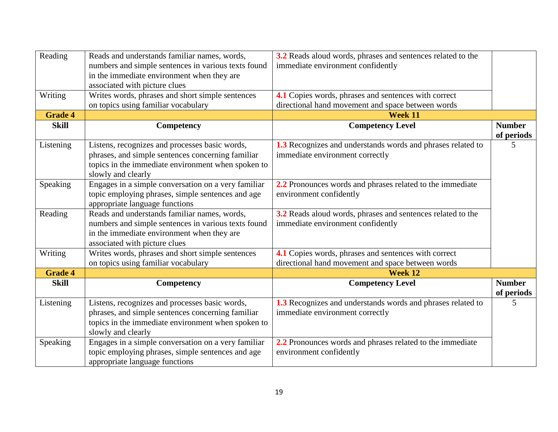| Reading        | Reads and understands familiar names, words,                                                      | 3.2 Reads aloud words, phrases and sentences related to the                                      |                             |
|----------------|---------------------------------------------------------------------------------------------------|--------------------------------------------------------------------------------------------------|-----------------------------|
|                | numbers and simple sentences in various texts found                                               | immediate environment confidently                                                                |                             |
|                | in the immediate environment when they are                                                        |                                                                                                  |                             |
|                | associated with picture clues                                                                     |                                                                                                  |                             |
| Writing        | Writes words, phrases and short simple sentences                                                  | 4.1 Copies words, phrases and sentences with correct                                             |                             |
|                | on topics using familiar vocabulary                                                               | directional hand movement and space between words                                                |                             |
| <b>Grade 4</b> |                                                                                                   | Week 11                                                                                          |                             |
| <b>Skill</b>   | Competency                                                                                        | <b>Competency Level</b>                                                                          | <b>Number</b><br>of periods |
| Listening      | Listens, recognizes and processes basic words,                                                    | 1.3 Recognizes and understands words and phrases related to                                      | 5                           |
|                | phrases, and simple sentences concerning familiar                                                 | immediate environment correctly                                                                  |                             |
|                | topics in the immediate environment when spoken to                                                |                                                                                                  |                             |
|                | slowly and clearly                                                                                |                                                                                                  |                             |
| Speaking       | Engages in a simple conversation on a very familiar                                               | 2.2 Pronounces words and phrases related to the immediate                                        |                             |
|                | topic employing phrases, simple sentences and age                                                 | environment confidently                                                                          |                             |
|                | appropriate language functions<br>Reads and understands familiar names, words,                    |                                                                                                  |                             |
| Reading        |                                                                                                   | 3.2 Reads aloud words, phrases and sentences related to the<br>immediate environment confidently |                             |
|                | numbers and simple sentences in various texts found<br>in the immediate environment when they are |                                                                                                  |                             |
|                | associated with picture clues                                                                     |                                                                                                  |                             |
| Writing        | Writes words, phrases and short simple sentences                                                  | 4.1 Copies words, phrases and sentences with correct                                             |                             |
|                | on topics using familiar vocabulary                                                               | directional hand movement and space between words                                                |                             |
| <b>Grade 4</b> |                                                                                                   | Week 12                                                                                          |                             |
| <b>Skill</b>   | Competency                                                                                        | <b>Competency Level</b>                                                                          | <b>Number</b>               |
|                |                                                                                                   |                                                                                                  | of periods                  |
| Listening      | Listens, recognizes and processes basic words,                                                    | 1.3 Recognizes and understands words and phrases related to                                      | 5                           |
|                | phrases, and simple sentences concerning familiar                                                 | immediate environment correctly                                                                  |                             |
|                | topics in the immediate environment when spoken to                                                |                                                                                                  |                             |
|                | slowly and clearly                                                                                |                                                                                                  |                             |
| Speaking       | Engages in a simple conversation on a very familiar                                               | 2.2 Pronounces words and phrases related to the immediate                                        |                             |
|                | topic employing phrases, simple sentences and age                                                 | environment confidently                                                                          |                             |
|                | appropriate language functions                                                                    |                                                                                                  |                             |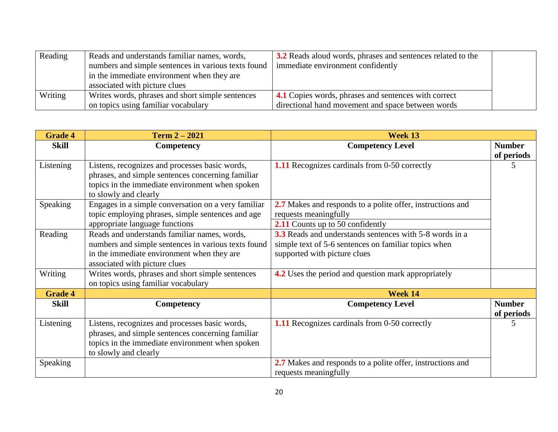| Reading | Reads and understands familiar names, words,        | <b>3.2</b> Reads aloud words, phrases and sentences related to the |  |
|---------|-----------------------------------------------------|--------------------------------------------------------------------|--|
|         | numbers and simple sentences in various texts found | immediate environment confidently                                  |  |
|         | in the immediate environment when they are          |                                                                    |  |
|         | associated with picture clues                       |                                                                    |  |
| Writing | Writes words, phrases and short simple sentences    | 4.1 Copies words, phrases and sentences with correct               |  |
|         | on topics using familiar vocabulary                 | directional hand movement and space between words                  |  |

| <b>Grade 4</b> | Term $2 - 2021$                                                                                                                                                                 | Week 13                                                                                                         |                             |
|----------------|---------------------------------------------------------------------------------------------------------------------------------------------------------------------------------|-----------------------------------------------------------------------------------------------------------------|-----------------------------|
| Skill          | Competency                                                                                                                                                                      | <b>Competency Level</b>                                                                                         | <b>Number</b><br>of periods |
| Listening      | Listens, recognizes and processes basic words,<br>phrases, and simple sentences concerning familiar<br>topics in the immediate environment when spoken<br>to slowly and clearly | 1.11 Recognizes cardinals from 0-50 correctly                                                                   |                             |
| Speaking       | Engages in a simple conversation on a very familiar<br>topic employing phrases, simple sentences and age                                                                        | 2.7 Makes and responds to a polite offer, instructions and<br>requests meaningfully                             |                             |
|                | appropriate language functions                                                                                                                                                  | 2.11 Counts up to 50 confidently                                                                                |                             |
| Reading        | Reads and understands familiar names, words,<br>numbers and simple sentences in various texts found                                                                             | 3.3 Reads and understands sentences with 5-8 words in a<br>simple text of 5-6 sentences on familiar topics when |                             |
|                | in the immediate environment when they are<br>associated with picture clues                                                                                                     | supported with picture clues                                                                                    |                             |
| Writing        | Writes words, phrases and short simple sentences<br>on topics using familiar vocabulary                                                                                         | 4.2 Uses the period and question mark appropriately                                                             |                             |
| <b>Grade 4</b> |                                                                                                                                                                                 | Week 14                                                                                                         |                             |
| <b>Skill</b>   | Competency                                                                                                                                                                      | <b>Competency Level</b>                                                                                         | <b>Number</b><br>of periods |
| Listening      | Listens, recognizes and processes basic words,<br>phrases, and simple sentences concerning familiar<br>topics in the immediate environment when spoken<br>to slowly and clearly | <b>1.11</b> Recognizes cardinals from 0-50 correctly                                                            | 5                           |
| Speaking       |                                                                                                                                                                                 | 2.7 Makes and responds to a polite offer, instructions and<br>requests meaningfully                             |                             |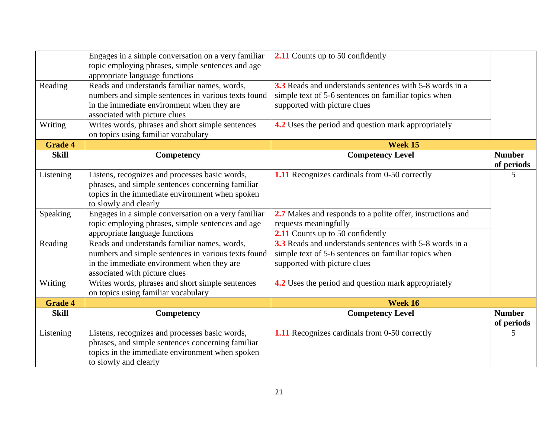|                | Engages in a simple conversation on a very familiar<br>topic employing phrases, simple sentences and age<br>appropriate language functions                                         | <b>2.11</b> Counts up to 50 confidently                                                                                                                |                             |
|----------------|------------------------------------------------------------------------------------------------------------------------------------------------------------------------------------|--------------------------------------------------------------------------------------------------------------------------------------------------------|-----------------------------|
| Reading        | Reads and understands familiar names, words,<br>numbers and simple sentences in various texts found<br>in the immediate environment when they are<br>associated with picture clues | <b>3.3</b> Reads and understands sentences with 5-8 words in a<br>simple text of 5-6 sentences on familiar topics when<br>supported with picture clues |                             |
| Writing        | Writes words, phrases and short simple sentences<br>on topics using familiar vocabulary                                                                                            | 4.2 Uses the period and question mark appropriately                                                                                                    |                             |
| <b>Grade 4</b> |                                                                                                                                                                                    | Week 15                                                                                                                                                |                             |
| <b>Skill</b>   | Competency                                                                                                                                                                         | <b>Competency Level</b>                                                                                                                                | <b>Number</b><br>of periods |
| Listening      | Listens, recognizes and processes basic words,<br>phrases, and simple sentences concerning familiar<br>topics in the immediate environment when spoken<br>to slowly and clearly    | <b>1.11</b> Recognizes cardinals from 0-50 correctly                                                                                                   | 5                           |
| Speaking       | Engages in a simple conversation on a very familiar<br>topic employing phrases, simple sentences and age<br>appropriate language functions                                         | 2.7 Makes and responds to a polite offer, instructions and<br>requests meaningfully<br>2.11 Counts up to 50 confidently                                |                             |
| Reading        | Reads and understands familiar names, words,<br>numbers and simple sentences in various texts found<br>in the immediate environment when they are<br>associated with picture clues | 3.3 Reads and understands sentences with 5-8 words in a<br>simple text of 5-6 sentences on familiar topics when<br>supported with picture clues        |                             |
| Writing        | Writes words, phrases and short simple sentences<br>on topics using familiar vocabulary                                                                                            | <b>4.2</b> Uses the period and question mark appropriately                                                                                             |                             |
| <b>Grade 4</b> |                                                                                                                                                                                    | Week 16                                                                                                                                                |                             |
| <b>Skill</b>   | Competency                                                                                                                                                                         | <b>Competency Level</b>                                                                                                                                | <b>Number</b><br>of periods |
| Listening      | Listens, recognizes and processes basic words,<br>phrases, and simple sentences concerning familiar<br>topics in the immediate environment when spoken<br>to slowly and clearly    | 1.11 Recognizes cardinals from 0-50 correctly                                                                                                          | 5                           |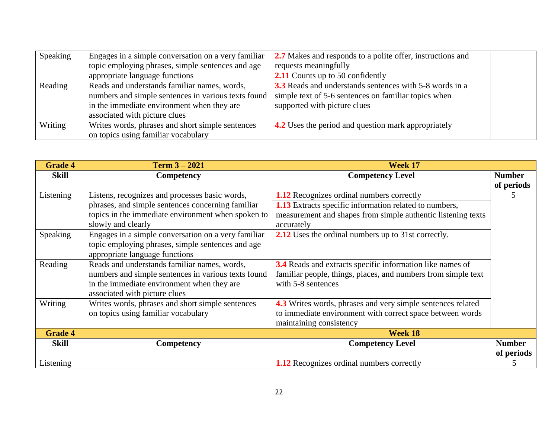| Speaking | Engages in a simple conversation on a very familiar | 2.7 Makes and responds to a polite offer, instructions and |  |
|----------|-----------------------------------------------------|------------------------------------------------------------|--|
|          | topic employing phrases, simple sentences and age   | requests meaningfully                                      |  |
|          | appropriate language functions                      | <b>2.11</b> Counts up to 50 confidently                    |  |
| Reading  | Reads and understands familiar names, words,        | 3.3 Reads and understands sentences with 5-8 words in a    |  |
|          | numbers and simple sentences in various texts found | simple text of 5-6 sentences on familiar topics when       |  |
|          | in the immediate environment when they are          | supported with picture clues                               |  |
|          | associated with picture clues                       |                                                            |  |
| Writing  | Writes words, phrases and short simple sentences    | <b>4.2</b> Uses the period and question mark appropriately |  |
|          | on topics using familiar vocabulary                 |                                                            |  |

| <b>Grade 4</b> | Term $3 - 2021$                                     | Week 17                                                          |               |
|----------------|-----------------------------------------------------|------------------------------------------------------------------|---------------|
| Skill          | Competency                                          | <b>Competency Level</b>                                          | <b>Number</b> |
|                |                                                     |                                                                  | of periods    |
| Listening      | Listens, recognizes and processes basic words,      | <b>1.12</b> Recognizes ordinal numbers correctly                 | 5             |
|                | phrases, and simple sentences concerning familiar   | <b>1.13</b> Extracts specific information related to numbers,    |               |
|                | topics in the immediate environment when spoken to  | measurement and shapes from simple authentic listening texts     |               |
|                | slowly and clearly                                  | accurately                                                       |               |
| Speaking       | Engages in a simple conversation on a very familiar | <b>2.12</b> Uses the ordinal numbers up to 31st correctly.       |               |
|                | topic employing phrases, simple sentences and age   |                                                                  |               |
|                | appropriate language functions                      |                                                                  |               |
| Reading        | Reads and understands familiar names, words,        | <b>3.4</b> Reads and extracts specific information like names of |               |
|                | numbers and simple sentences in various texts found | familiar people, things, places, and numbers from simple text    |               |
|                | in the immediate environment when they are          | with 5-8 sentences                                               |               |
|                | associated with picture clues                       |                                                                  |               |
| Writing        | Writes words, phrases and short simple sentences    | 4.3 Writes words, phrases and very simple sentences related      |               |
|                | on topics using familiar vocabulary                 | to immediate environment with correct space between words        |               |
|                |                                                     | maintaining consistency                                          |               |
| <b>Grade 4</b> |                                                     | Week 18                                                          |               |
| <b>Skill</b>   | Competency                                          | <b>Competency Level</b>                                          | <b>Number</b> |
|                |                                                     |                                                                  | of periods    |
| Listening      |                                                     | <b>1.12</b> Recognizes ordinal numbers correctly                 | C             |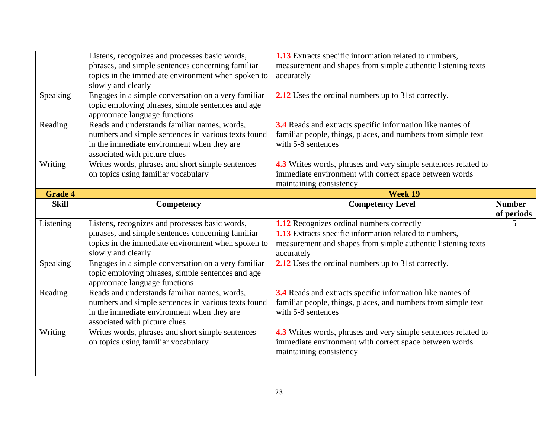|                | Listens, recognizes and processes basic words,      | <b>1.13</b> Extracts specific information related to numbers,  |               |
|----------------|-----------------------------------------------------|----------------------------------------------------------------|---------------|
|                | phrases, and simple sentences concerning familiar   | measurement and shapes from simple authentic listening texts   |               |
|                | topics in the immediate environment when spoken to  | accurately                                                     |               |
|                | slowly and clearly                                  |                                                                |               |
| Speaking       | Engages in a simple conversation on a very familiar | 2.12 Uses the ordinal numbers up to 31st correctly.            |               |
|                | topic employing phrases, simple sentences and age   |                                                                |               |
|                | appropriate language functions                      |                                                                |               |
| Reading        | Reads and understands familiar names, words,        | 3.4 Reads and extracts specific information like names of      |               |
|                | numbers and simple sentences in various texts found | familiar people, things, places, and numbers from simple text  |               |
|                | in the immediate environment when they are          | with 5-8 sentences                                             |               |
|                | associated with picture clues                       |                                                                |               |
| Writing        | Writes words, phrases and short simple sentences    | 4.3 Writes words, phrases and very simple sentences related to |               |
|                | on topics using familiar vocabulary                 | immediate environment with correct space between words         |               |
|                |                                                     | maintaining consistency                                        |               |
| <b>Grade 4</b> |                                                     | Week 19                                                        |               |
| <b>Skill</b>   | Competency                                          | <b>Competency Level</b>                                        | <b>Number</b> |
|                |                                                     |                                                                |               |
|                |                                                     |                                                                | of periods    |
| Listening      | Listens, recognizes and processes basic words,      | 1.12 Recognizes ordinal numbers correctly                      | 5             |
|                | phrases, and simple sentences concerning familiar   | 1.13 Extracts specific information related to numbers,         |               |
|                | topics in the immediate environment when spoken to  | measurement and shapes from simple authentic listening texts   |               |
|                | slowly and clearly                                  | accurately                                                     |               |
| Speaking       | Engages in a simple conversation on a very familiar | 2.12 Uses the ordinal numbers up to 31st correctly.            |               |
|                | topic employing phrases, simple sentences and age   |                                                                |               |
|                | appropriate language functions                      |                                                                |               |
| Reading        | Reads and understands familiar names, words,        | 3.4 Reads and extracts specific information like names of      |               |
|                | numbers and simple sentences in various texts found | familiar people, things, places, and numbers from simple text  |               |
|                | in the immediate environment when they are          | with 5-8 sentences                                             |               |
|                | associated with picture clues                       |                                                                |               |
| Writing        | Writes words, phrases and short simple sentences    | 4.3 Writes words, phrases and very simple sentences related to |               |
|                | on topics using familiar vocabulary                 | immediate environment with correct space between words         |               |
|                |                                                     | maintaining consistency                                        |               |
|                |                                                     |                                                                |               |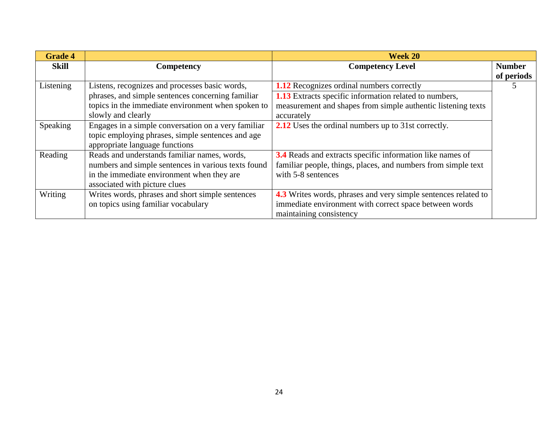| <b>Grade 4</b> |                                                     | Week 20                                                          |               |
|----------------|-----------------------------------------------------|------------------------------------------------------------------|---------------|
| Skill          | Competency                                          | <b>Competency Level</b>                                          | <b>Number</b> |
|                |                                                     |                                                                  | of periods    |
| Listening      | Listens, recognizes and processes basic words,      | <b>1.12</b> Recognizes ordinal numbers correctly                 |               |
|                | phrases, and simple sentences concerning familiar   | <b>1.13</b> Extracts specific information related to numbers,    |               |
|                | topics in the immediate environment when spoken to  | measurement and shapes from simple authentic listening texts     |               |
|                | slowly and clearly                                  | accurately                                                       |               |
| Speaking       | Engages in a simple conversation on a very familiar | <b>2.12</b> Uses the ordinal numbers up to 31st correctly.       |               |
|                | topic employing phrases, simple sentences and age   |                                                                  |               |
|                | appropriate language functions                      |                                                                  |               |
| Reading        | Reads and understands familiar names, words,        | <b>3.4</b> Reads and extracts specific information like names of |               |
|                | numbers and simple sentences in various texts found | familiar people, things, places, and numbers from simple text    |               |
|                | in the immediate environment when they are          | with 5-8 sentences                                               |               |
|                | associated with picture clues                       |                                                                  |               |
| Writing        | Writes words, phrases and short simple sentences    | 4.3 Writes words, phrases and very simple sentences related to   |               |
|                | on topics using familiar vocabulary                 | immediate environment with correct space between words           |               |
|                |                                                     | maintaining consistency                                          |               |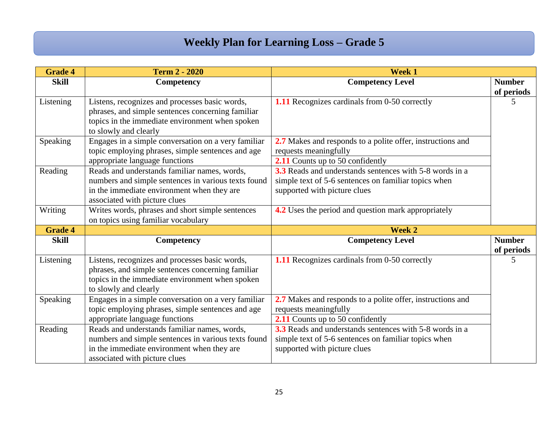### **Weekly Plan for Learning Loss – Grade 5**

| <b>Grade 4</b> | <b>Term 2 - 2020</b>                                                                                                                                                               | <b>Week 1</b>                                                                                                                                          |                             |
|----------------|------------------------------------------------------------------------------------------------------------------------------------------------------------------------------------|--------------------------------------------------------------------------------------------------------------------------------------------------------|-----------------------------|
| <b>Skill</b>   | <b>Competency</b>                                                                                                                                                                  | <b>Competency Level</b>                                                                                                                                | <b>Number</b><br>of periods |
| Listening      | Listens, recognizes and processes basic words,<br>phrases, and simple sentences concerning familiar<br>topics in the immediate environment when spoken<br>to slowly and clearly    | <b>1.11</b> Recognizes cardinals from 0-50 correctly                                                                                                   | 5                           |
| Speaking       | Engages in a simple conversation on a very familiar<br>topic employing phrases, simple sentences and age<br>appropriate language functions                                         | 2.7 Makes and responds to a polite offer, instructions and<br>requests meaningfully<br>2.11 Counts up to 50 confidently                                |                             |
| Reading        | Reads and understands familiar names, words,<br>numbers and simple sentences in various texts found<br>in the immediate environment when they are<br>associated with picture clues | 3.3 Reads and understands sentences with 5-8 words in a<br>simple text of 5-6 sentences on familiar topics when<br>supported with picture clues        |                             |
| Writing        | Writes words, phrases and short simple sentences<br>on topics using familiar vocabulary                                                                                            | <b>4.2</b> Uses the period and question mark appropriately                                                                                             |                             |
| <b>Grade 4</b> |                                                                                                                                                                                    | <b>Week 2</b>                                                                                                                                          |                             |
| <b>Skill</b>   | Competency                                                                                                                                                                         | <b>Competency Level</b>                                                                                                                                | <b>Number</b><br>of periods |
| Listening      | Listens, recognizes and processes basic words,<br>phrases, and simple sentences concerning familiar<br>topics in the immediate environment when spoken<br>to slowly and clearly    | 1.11 Recognizes cardinals from 0-50 correctly                                                                                                          | 5                           |
| Speaking       | Engages in a simple conversation on a very familiar<br>topic employing phrases, simple sentences and age<br>appropriate language functions                                         | 2.7 Makes and responds to a polite offer, instructions and<br>requests meaningfully<br>2.11 Counts up to 50 confidently                                |                             |
| Reading        | Reads and understands familiar names, words,<br>numbers and simple sentences in various texts found<br>in the immediate environment when they are<br>associated with picture clues | <b>3.3</b> Reads and understands sentences with 5-8 words in a<br>simple text of 5-6 sentences on familiar topics when<br>supported with picture clues |                             |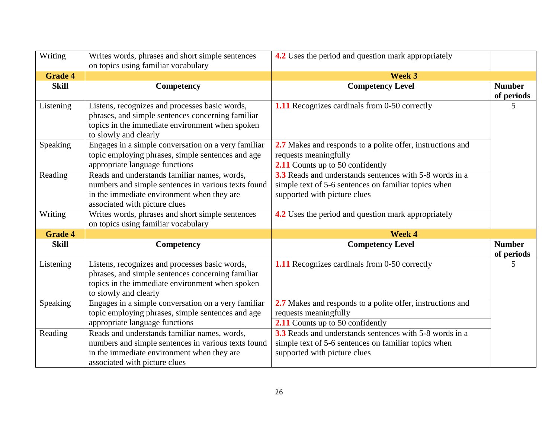| Writing        | Writes words, phrases and short simple sentences<br>on topics using familiar vocabulary                                                                                            | 4.2 Uses the period and question mark appropriately                                                                                             |                             |
|----------------|------------------------------------------------------------------------------------------------------------------------------------------------------------------------------------|-------------------------------------------------------------------------------------------------------------------------------------------------|-----------------------------|
| <b>Grade 4</b> |                                                                                                                                                                                    | <b>Week 3</b>                                                                                                                                   |                             |
| <b>Skill</b>   | Competency                                                                                                                                                                         | <b>Competency Level</b>                                                                                                                         | <b>Number</b><br>of periods |
| Listening      | Listens, recognizes and processes basic words,<br>phrases, and simple sentences concerning familiar<br>topics in the immediate environment when spoken<br>to slowly and clearly    | 1.11 Recognizes cardinals from 0-50 correctly                                                                                                   | 5                           |
| Speaking       | Engages in a simple conversation on a very familiar<br>topic employing phrases, simple sentences and age                                                                           | 2.7 Makes and responds to a polite offer, instructions and<br>requests meaningfully                                                             |                             |
|                | appropriate language functions                                                                                                                                                     | 2.11 Counts up to 50 confidently                                                                                                                |                             |
| Reading        | Reads and understands familiar names, words,<br>numbers and simple sentences in various texts found<br>in the immediate environment when they are<br>associated with picture clues | 3.3 Reads and understands sentences with 5-8 words in a<br>simple text of 5-6 sentences on familiar topics when<br>supported with picture clues |                             |
| Writing        | Writes words, phrases and short simple sentences<br>on topics using familiar vocabulary                                                                                            | 4.2 Uses the period and question mark appropriately                                                                                             |                             |
| <b>Grade 4</b> |                                                                                                                                                                                    | <b>Week 4</b>                                                                                                                                   |                             |
| <b>Skill</b>   | <b>Competency</b>                                                                                                                                                                  | <b>Competency Level</b>                                                                                                                         | <b>Number</b><br>of periods |
| Listening      | Listens, recognizes and processes basic words,<br>phrases, and simple sentences concerning familiar<br>topics in the immediate environment when spoken<br>to slowly and clearly    | 1.11 Recognizes cardinals from 0-50 correctly                                                                                                   | 5                           |
| Speaking       | Engages in a simple conversation on a very familiar<br>topic employing phrases, simple sentences and age<br>appropriate language functions                                         | 2.7 Makes and responds to a polite offer, instructions and<br>requests meaningfully<br>2.11 Counts up to 50 confidently                         |                             |
| Reading        | Reads and understands familiar names, words,<br>numbers and simple sentences in various texts found<br>in the immediate environment when they are<br>associated with picture clues | 3.3 Reads and understands sentences with 5-8 words in a<br>simple text of 5-6 sentences on familiar topics when<br>supported with picture clues |                             |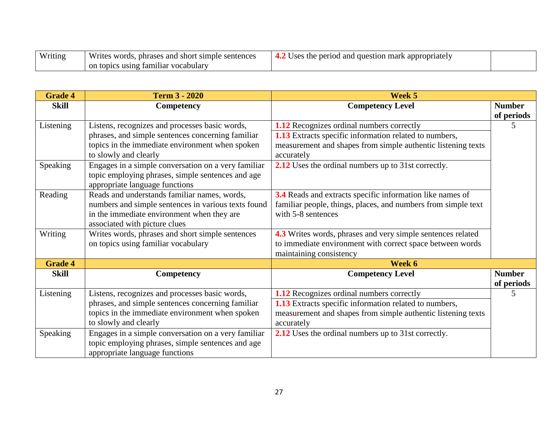| <b>TTT</b><br>Writing | Writes<br>. short<br>≅ words.<br>simple<br>sentences<br>∶and<br>phrases | the periog<br>mark<br>appropriate<br>Jses<br>l and question<br>≖⊷ |  |
|-----------------------|-------------------------------------------------------------------------|-------------------------------------------------------------------|--|
|                       | using<br>z familiar vocabulary<br>on topics                             |                                                                   |  |

| <b>Grade 4</b> | <b>Term 3 - 2020</b>                                                                                                                                                               | Week 5                                                                                                                                                                                   |                             |
|----------------|------------------------------------------------------------------------------------------------------------------------------------------------------------------------------------|------------------------------------------------------------------------------------------------------------------------------------------------------------------------------------------|-----------------------------|
| <b>Skill</b>   | Competency                                                                                                                                                                         | <b>Competency Level</b>                                                                                                                                                                  | <b>Number</b><br>of periods |
| Listening      | Listens, recognizes and processes basic words,<br>phrases, and simple sentences concerning familiar<br>topics in the immediate environment when spoken<br>to slowly and clearly    | 1.12 Recognizes ordinal numbers correctly<br><b>1.13</b> Extracts specific information related to numbers,<br>measurement and shapes from simple authentic listening texts<br>accurately | 5                           |
| Speaking       | Engages in a simple conversation on a very familiar<br>topic employing phrases, simple sentences and age<br>appropriate language functions                                         | 2.12 Uses the ordinal numbers up to 31st correctly.                                                                                                                                      |                             |
| Reading        | Reads and understands familiar names, words,<br>numbers and simple sentences in various texts found<br>in the immediate environment when they are<br>associated with picture clues | 3.4 Reads and extracts specific information like names of<br>familiar people, things, places, and numbers from simple text<br>with 5-8 sentences                                         |                             |
| Writing        | Writes words, phrases and short simple sentences<br>on topics using familiar vocabulary                                                                                            | 4.3 Writes words, phrases and very simple sentences related<br>to immediate environment with correct space between words<br>maintaining consistency                                      |                             |
| <b>Grade 4</b> |                                                                                                                                                                                    | Week 6                                                                                                                                                                                   |                             |
| <b>Skill</b>   | Competency                                                                                                                                                                         | <b>Competency Level</b>                                                                                                                                                                  | <b>Number</b><br>of periods |
| Listening      | Listens, recognizes and processes basic words,<br>phrases, and simple sentences concerning familiar<br>topics in the immediate environment when spoken<br>to slowly and clearly    | 1.12 Recognizes ordinal numbers correctly<br>1.13 Extracts specific information related to numbers,<br>measurement and shapes from simple authentic listening texts<br>accurately        |                             |
| Speaking       | Engages in a simple conversation on a very familiar<br>topic employing phrases, simple sentences and age<br>appropriate language functions                                         | 2.12 Uses the ordinal numbers up to 31st correctly.                                                                                                                                      |                             |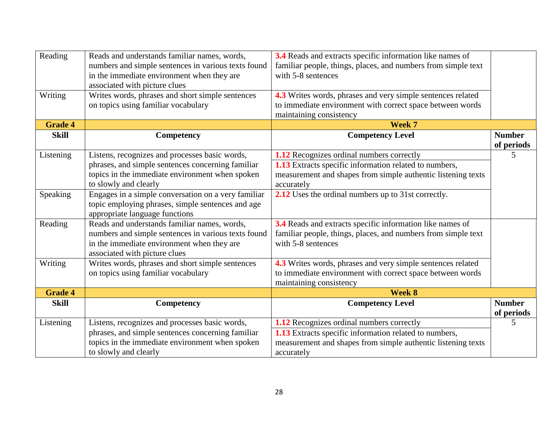| Reading        | Reads and understands familiar names, words,<br>numbers and simple sentences in various texts found<br>in the immediate environment when they are | 3.4 Reads and extracts specific information like names of<br>familiar people, things, places, and numbers from simple text<br>with 5-8 sentences |                             |
|----------------|---------------------------------------------------------------------------------------------------------------------------------------------------|--------------------------------------------------------------------------------------------------------------------------------------------------|-----------------------------|
|                | associated with picture clues                                                                                                                     |                                                                                                                                                  |                             |
| Writing        | Writes words, phrases and short simple sentences                                                                                                  | 4.3 Writes words, phrases and very simple sentences related                                                                                      |                             |
|                | on topics using familiar vocabulary                                                                                                               | to immediate environment with correct space between words                                                                                        |                             |
|                |                                                                                                                                                   | maintaining consistency                                                                                                                          |                             |
| <b>Grade 4</b> |                                                                                                                                                   | Week 7                                                                                                                                           |                             |
| <b>Skill</b>   | Competency                                                                                                                                        | <b>Competency Level</b>                                                                                                                          | <b>Number</b><br>of periods |
| Listening      | Listens, recognizes and processes basic words,                                                                                                    | <b>1.12</b> Recognizes ordinal numbers correctly                                                                                                 | 5                           |
|                | phrases, and simple sentences concerning familiar                                                                                                 | 1.13 Extracts specific information related to numbers,                                                                                           |                             |
|                | topics in the immediate environment when spoken                                                                                                   | measurement and shapes from simple authentic listening texts                                                                                     |                             |
|                | to slowly and clearly                                                                                                                             | accurately                                                                                                                                       |                             |
| Speaking       | Engages in a simple conversation on a very familiar                                                                                               | 2.12 Uses the ordinal numbers up to 31st correctly.                                                                                              |                             |
|                | topic employing phrases, simple sentences and age<br>appropriate language functions                                                               |                                                                                                                                                  |                             |
| Reading        | Reads and understands familiar names, words,                                                                                                      | 3.4 Reads and extracts specific information like names of                                                                                        |                             |
|                | numbers and simple sentences in various texts found                                                                                               | familiar people, things, places, and numbers from simple text                                                                                    |                             |
|                | in the immediate environment when they are                                                                                                        | with 5-8 sentences                                                                                                                               |                             |
| Writing        | associated with picture clues<br>Writes words, phrases and short simple sentences                                                                 |                                                                                                                                                  |                             |
|                | on topics using familiar vocabulary                                                                                                               | 4.3 Writes words, phrases and very simple sentences related<br>to immediate environment with correct space between words                         |                             |
|                |                                                                                                                                                   | maintaining consistency                                                                                                                          |                             |
| <b>Grade 4</b> |                                                                                                                                                   | Week 8                                                                                                                                           |                             |
| <b>Skill</b>   | Competency                                                                                                                                        | <b>Competency Level</b>                                                                                                                          | <b>Number</b>               |
|                |                                                                                                                                                   |                                                                                                                                                  | of periods                  |
| Listening      | Listens, recognizes and processes basic words,                                                                                                    | 1.12 Recognizes ordinal numbers correctly                                                                                                        | 5                           |
|                | phrases, and simple sentences concerning familiar                                                                                                 | 1.13 Extracts specific information related to numbers,                                                                                           |                             |
|                | topics in the immediate environment when spoken                                                                                                   | measurement and shapes from simple authentic listening texts                                                                                     |                             |
|                | to slowly and clearly                                                                                                                             | accurately                                                                                                                                       |                             |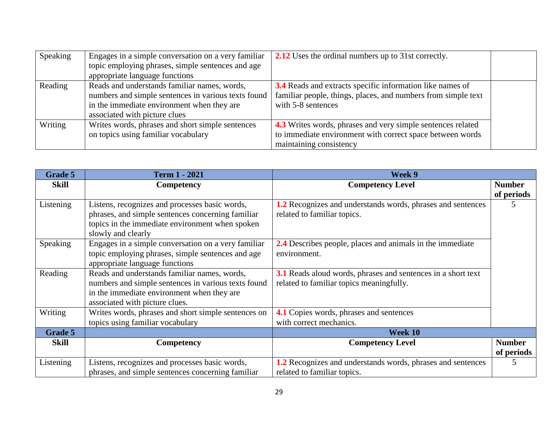| Speaking | Engages in a simple conversation on a very familiar | 2.12 Uses the ordinal numbers up to 31st correctly.                |  |
|----------|-----------------------------------------------------|--------------------------------------------------------------------|--|
|          | topic employing phrases, simple sentences and age   |                                                                    |  |
|          | appropriate language functions                      |                                                                    |  |
| Reading  | Reads and understands familiar names, words,        | <b>3.4</b> Reads and extracts specific information like names of   |  |
|          | numbers and simple sentences in various texts found | familiar people, things, places, and numbers from simple text      |  |
|          | in the immediate environment when they are          | with 5-8 sentences                                                 |  |
|          | associated with picture clues                       |                                                                    |  |
| Writing  | Writes words, phrases and short simple sentences    | <b>4.3</b> Writes words, phrases and very simple sentences related |  |
|          | on topics using familiar vocabulary                 | to immediate environment with correct space between words          |  |
|          |                                                     | maintaining consistency                                            |  |

| Grade 5      | <b>Term 1 - 2021</b>                                                                                                                                                                | Week 9                                                                                                   |                             |
|--------------|-------------------------------------------------------------------------------------------------------------------------------------------------------------------------------------|----------------------------------------------------------------------------------------------------------|-----------------------------|
| <b>Skill</b> | Competency                                                                                                                                                                          | <b>Competency Level</b>                                                                                  | <b>Number</b><br>of periods |
| Listening    | Listens, recognizes and processes basic words,<br>phrases, and simple sentences concerning familiar<br>topics in the immediate environment when spoken<br>slowly and clearly        | 1.2 Recognizes and understands words, phrases and sentences<br>related to familiar topics.               |                             |
| Speaking     | Engages in a simple conversation on a very familiar<br>topic employing phrases, simple sentences and age<br>appropriate language functions                                          | 2.4 Describes people, places and animals in the immediate<br>environment.                                |                             |
| Reading      | Reads and understands familiar names, words,<br>numbers and simple sentences in various texts found<br>in the immediate environment when they are<br>associated with picture clues. | 3.1 Reads aloud words, phrases and sentences in a short text<br>related to familiar topics meaningfully. |                             |
| Writing      | Writes words, phrases and short simple sentences on<br>topics using familiar vocabulary                                                                                             | 4.1 Copies words, phrases and sentences<br>with correct mechanics.                                       |                             |
| Grade 5      |                                                                                                                                                                                     | Week 10                                                                                                  |                             |
| <b>Skill</b> | Competency                                                                                                                                                                          | <b>Competency Level</b>                                                                                  | <b>Number</b><br>of periods |
| Listening    | Listens, recognizes and processes basic words,<br>phrases, and simple sentences concerning familiar                                                                                 | 2.2 Recognizes and understands words, phrases and sentences<br>related to familiar topics.               | 5                           |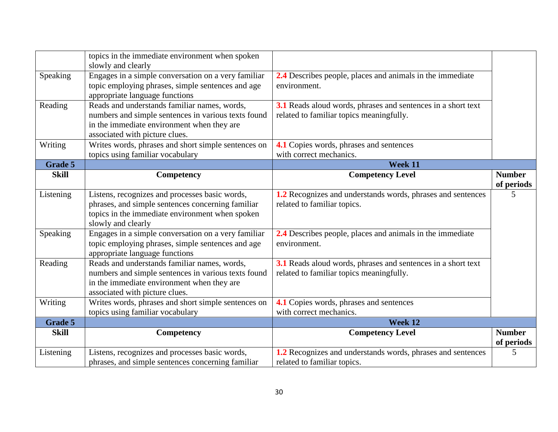|                | topics in the immediate environment when spoken<br>slowly and clearly                                                                                                               |                                                                                                          |                             |
|----------------|-------------------------------------------------------------------------------------------------------------------------------------------------------------------------------------|----------------------------------------------------------------------------------------------------------|-----------------------------|
| Speaking       | Engages in a simple conversation on a very familiar<br>topic employing phrases, simple sentences and age<br>appropriate language functions                                          | 2.4 Describes people, places and animals in the immediate<br>environment.                                |                             |
| Reading        | Reads and understands familiar names, words,<br>numbers and simple sentences in various texts found<br>in the immediate environment when they are<br>associated with picture clues. | 3.1 Reads aloud words, phrases and sentences in a short text<br>related to familiar topics meaningfully. |                             |
| Writing        | Writes words, phrases and short simple sentences on<br>topics using familiar vocabulary                                                                                             | 4.1 Copies words, phrases and sentences<br>with correct mechanics.                                       |                             |
| <b>Grade 5</b> |                                                                                                                                                                                     | <b>Week 11</b>                                                                                           |                             |
| <b>Skill</b>   | Competency                                                                                                                                                                          | <b>Competency Level</b>                                                                                  | <b>Number</b><br>of periods |
| Listening      | Listens, recognizes and processes basic words,<br>phrases, and simple sentences concerning familiar<br>topics in the immediate environment when spoken<br>slowly and clearly        | 1.2 Recognizes and understands words, phrases and sentences<br>related to familiar topics.               | 5                           |
| Speaking       | Engages in a simple conversation on a very familiar<br>topic employing phrases, simple sentences and age<br>appropriate language functions                                          | 2.4 Describes people, places and animals in the immediate<br>environment.                                |                             |
| Reading        | Reads and understands familiar names, words,<br>numbers and simple sentences in various texts found<br>in the immediate environment when they are<br>associated with picture clues. | 3.1 Reads aloud words, phrases and sentences in a short text<br>related to familiar topics meaningfully. |                             |
| Writing        | Writes words, phrases and short simple sentences on<br>topics using familiar vocabulary                                                                                             | 4.1 Copies words, phrases and sentences<br>with correct mechanics.                                       |                             |
| Grade 5        |                                                                                                                                                                                     | Week 12                                                                                                  |                             |
| <b>Skill</b>   | Competency                                                                                                                                                                          | <b>Competency Level</b>                                                                                  | <b>Number</b><br>of periods |
| Listening      | Listens, recognizes and processes basic words,<br>phrases, and simple sentences concerning familiar                                                                                 | 1.2 Recognizes and understands words, phrases and sentences<br>related to familiar topics.               | 5                           |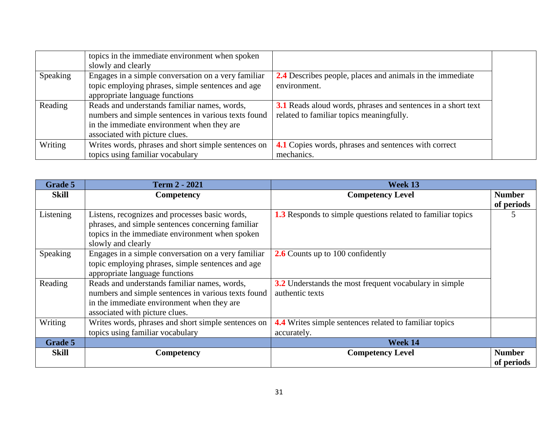|          | topics in the immediate environment when spoken     |                                                              |
|----------|-----------------------------------------------------|--------------------------------------------------------------|
|          | slowly and clearly                                  |                                                              |
| Speaking | Engages in a simple conversation on a very familiar | 2.4 Describes people, places and animals in the immediate    |
|          | topic employing phrases, simple sentences and age   | environment.                                                 |
|          | appropriate language functions                      |                                                              |
| Reading  | Reads and understands familiar names, words,        | 3.1 Reads aloud words, phrases and sentences in a short text |
|          | numbers and simple sentences in various texts found | related to familiar topics meaningfully.                     |
|          | in the immediate environment when they are          |                                                              |
|          | associated with picture clues.                      |                                                              |
| Writing  | Writes words, phrases and short simple sentences on | 4.1 Copies words, phrases and sentences with correct         |
|          | topics using familiar vocabulary                    | mechanics.                                                   |

| Grade 5      | <b>Term 2 - 2021</b>                                                                                                                                                                | Week 13                                                                      |                             |
|--------------|-------------------------------------------------------------------------------------------------------------------------------------------------------------------------------------|------------------------------------------------------------------------------|-----------------------------|
| <b>Skill</b> | Competency                                                                                                                                                                          | <b>Competency Level</b>                                                      | <b>Number</b><br>of periods |
| Listening    | Listens, recognizes and processes basic words,<br>phrases, and simple sentences concerning familiar<br>topics in the immediate environment when spoken<br>slowly and clearly        | <b>1.3</b> Responds to simple questions related to familiar topics           | C                           |
| Speaking     | Engages in a simple conversation on a very familiar<br>topic employing phrases, simple sentences and age<br>appropriate language functions                                          | <b>2.6</b> Counts up to 100 confidently                                      |                             |
| Reading      | Reads and understands familiar names, words,<br>numbers and simple sentences in various texts found<br>in the immediate environment when they are<br>associated with picture clues. | 3.2 Understands the most frequent vocabulary in simple<br>authentic texts    |                             |
| Writing      | Writes words, phrases and short simple sentences on<br>topics using familiar vocabulary                                                                                             | <b>4.4</b> Writes simple sentences related to familiar topics<br>accurately. |                             |
| Grade 5      |                                                                                                                                                                                     | Week 14                                                                      |                             |
| <b>Skill</b> | <b>Competency</b>                                                                                                                                                                   | <b>Competency Level</b>                                                      | <b>Number</b><br>of periods |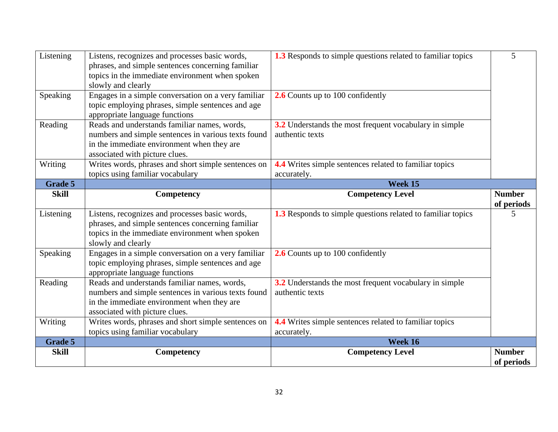| Listening    | Listens, recognizes and processes basic words,<br>phrases, and simple sentences concerning familiar      | <b>1.3</b> Responds to simple questions related to familiar topics | 5                           |
|--------------|----------------------------------------------------------------------------------------------------------|--------------------------------------------------------------------|-----------------------------|
|              | topics in the immediate environment when spoken                                                          |                                                                    |                             |
|              | slowly and clearly                                                                                       |                                                                    |                             |
| Speaking     | Engages in a simple conversation on a very familiar                                                      | 2.6 Counts up to 100 confidently                                   |                             |
|              | topic employing phrases, simple sentences and age                                                        |                                                                    |                             |
|              | appropriate language functions                                                                           |                                                                    |                             |
| Reading      | Reads and understands familiar names, words,                                                             | 3.2 Understands the most frequent vocabulary in simple             |                             |
|              | numbers and simple sentences in various texts found                                                      | authentic texts                                                    |                             |
|              | in the immediate environment when they are                                                               |                                                                    |                             |
|              | associated with picture clues.                                                                           |                                                                    |                             |
| Writing      | Writes words, phrases and short simple sentences on                                                      | <b>4.4</b> Writes simple sentences related to familiar topics      |                             |
| Grade 5      | topics using familiar vocabulary                                                                         | accurately.<br>Week 15                                             |                             |
| <b>Skill</b> | Competency                                                                                               | <b>Competency Level</b>                                            | <b>Number</b>               |
|              |                                                                                                          |                                                                    | of periods                  |
| Listening    | Listens, recognizes and processes basic words,                                                           | <b>1.3</b> Responds to simple questions related to familiar topics | 5                           |
|              | phrases, and simple sentences concerning familiar                                                        |                                                                    |                             |
|              | topics in the immediate environment when spoken                                                          |                                                                    |                             |
|              | slowly and clearly                                                                                       |                                                                    |                             |
| Speaking     | Engages in a simple conversation on a very familiar<br>topic employing phrases, simple sentences and age | 2.6 Counts up to 100 confidently                                   |                             |
|              | appropriate language functions                                                                           |                                                                    |                             |
| Reading      | Reads and understands familiar names, words,                                                             | 3.2 Understands the most frequent vocabulary in simple             |                             |
|              | numbers and simple sentences in various texts found                                                      | authentic texts                                                    |                             |
|              |                                                                                                          |                                                                    |                             |
|              | in the immediate environment when they are                                                               |                                                                    |                             |
|              | associated with picture clues.                                                                           |                                                                    |                             |
| Writing      | Writes words, phrases and short simple sentences on                                                      | 4.4 Writes simple sentences related to familiar topics             |                             |
|              | topics using familiar vocabulary                                                                         | accurately.                                                        |                             |
| Grade 5      |                                                                                                          | Week 16                                                            |                             |
| <b>Skill</b> | Competency                                                                                               | <b>Competency Level</b>                                            | <b>Number</b><br>of periods |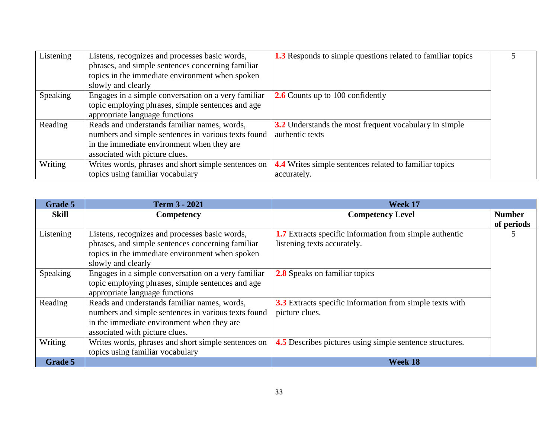| Listening | Listens, recognizes and processes basic words,      | <b>1.3</b> Responds to simple questions related to familiar topics |  |
|-----------|-----------------------------------------------------|--------------------------------------------------------------------|--|
|           | phrases, and simple sentences concerning familiar   |                                                                    |  |
|           | topics in the immediate environment when spoken     |                                                                    |  |
|           | slowly and clearly                                  |                                                                    |  |
| Speaking  | Engages in a simple conversation on a very familiar | <b>2.6</b> Counts up to 100 confidently                            |  |
|           | topic employing phrases, simple sentences and age   |                                                                    |  |
|           | appropriate language functions                      |                                                                    |  |
| Reading   | Reads and understands familiar names, words,        | 3.2 Understands the most frequent vocabulary in simple             |  |
|           | numbers and simple sentences in various texts found | authentic texts                                                    |  |
|           | in the immediate environment when they are          |                                                                    |  |
|           | associated with picture clues.                      |                                                                    |  |
| Writing   | Writes words, phrases and short simple sentences on | <b>4.4</b> Writes simple sentences related to familiar topics      |  |
|           | topics using familiar vocabulary                    | accurately.                                                        |  |

| Grade 5      | <b>Term 3 - 2021</b>                                | Week 17                                                         |               |
|--------------|-----------------------------------------------------|-----------------------------------------------------------------|---------------|
| <b>Skill</b> | <b>Competency</b>                                   | <b>Competency Level</b>                                         | <b>Number</b> |
|              |                                                     |                                                                 | of periods    |
| Listening    | Listens, recognizes and processes basic words,      | <b>1.7</b> Extracts specific information from simple authentic  | C             |
|              | phrases, and simple sentences concerning familiar   | listening texts accurately.                                     |               |
|              | topics in the immediate environment when spoken     |                                                                 |               |
|              | slowly and clearly                                  |                                                                 |               |
| Speaking     | Engages in a simple conversation on a very familiar | <b>2.8</b> Speaks on familiar topics                            |               |
|              | topic employing phrases, simple sentences and age   |                                                                 |               |
|              | appropriate language functions                      |                                                                 |               |
| Reading      | Reads and understands familiar names, words,        | <b>3.3</b> Extracts specific information from simple texts with |               |
|              | numbers and simple sentences in various texts found | picture clues.                                                  |               |
|              | in the immediate environment when they are          |                                                                 |               |
|              | associated with picture clues.                      |                                                                 |               |
| Writing      | Writes words, phrases and short simple sentences on | <b>4.5</b> Describes pictures using simple sentence structures. |               |
|              | topics using familiar vocabulary                    |                                                                 |               |
| Grade 5      |                                                     | Week 18                                                         |               |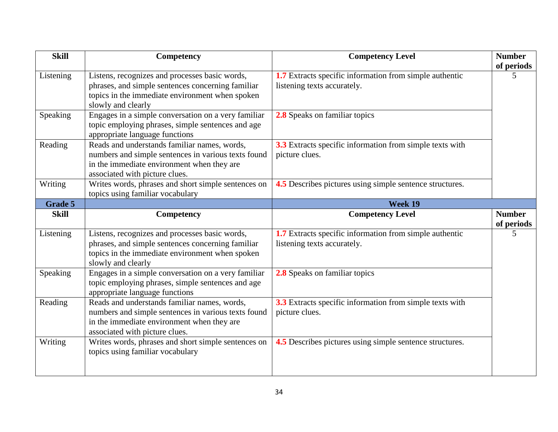| <b>Skill</b> | Competency                                                                                                                                                                          | <b>Competency Level</b>                                                                | <b>Number</b>               |
|--------------|-------------------------------------------------------------------------------------------------------------------------------------------------------------------------------------|----------------------------------------------------------------------------------------|-----------------------------|
| Listening    | Listens, recognizes and processes basic words,<br>phrases, and simple sentences concerning familiar<br>topics in the immediate environment when spoken<br>slowly and clearly        | 1.7 Extracts specific information from simple authentic<br>listening texts accurately. | of periods<br>5             |
| Speaking     | Engages in a simple conversation on a very familiar<br>topic employing phrases, simple sentences and age<br>appropriate language functions                                          | 2.8 Speaks on familiar topics                                                          |                             |
| Reading      | Reads and understands familiar names, words,<br>numbers and simple sentences in various texts found<br>in the immediate environment when they are<br>associated with picture clues. | 3.3 Extracts specific information from simple texts with<br>picture clues.             |                             |
| Writing      | Writes words, phrases and short simple sentences on<br>topics using familiar vocabulary                                                                                             | 4.5 Describes pictures using simple sentence structures.                               |                             |
| Grade 5      |                                                                                                                                                                                     | Week 19                                                                                |                             |
| <b>Skill</b> | Competency                                                                                                                                                                          | <b>Competency Level</b>                                                                | <b>Number</b><br>of periods |
| Listening    | Listens, recognizes and processes basic words,<br>phrases, and simple sentences concerning familiar<br>topics in the immediate environment when spoken<br>slowly and clearly        | 1.7 Extracts specific information from simple authentic<br>listening texts accurately. | 5                           |
| Speaking     | Engages in a simple conversation on a very familiar<br>topic employing phrases, simple sentences and age<br>appropriate language functions                                          | 2.8 Speaks on familiar topics                                                          |                             |
| Reading      | Reads and understands familiar names, words,<br>numbers and simple sentences in various texts found<br>in the immediate environment when they are<br>associated with picture clues. | 3.3 Extracts specific information from simple texts with<br>picture clues.             |                             |
| Writing      | Writes words, phrases and short simple sentences on<br>topics using familiar vocabulary                                                                                             | 4.5 Describes pictures using simple sentence structures.                               |                             |